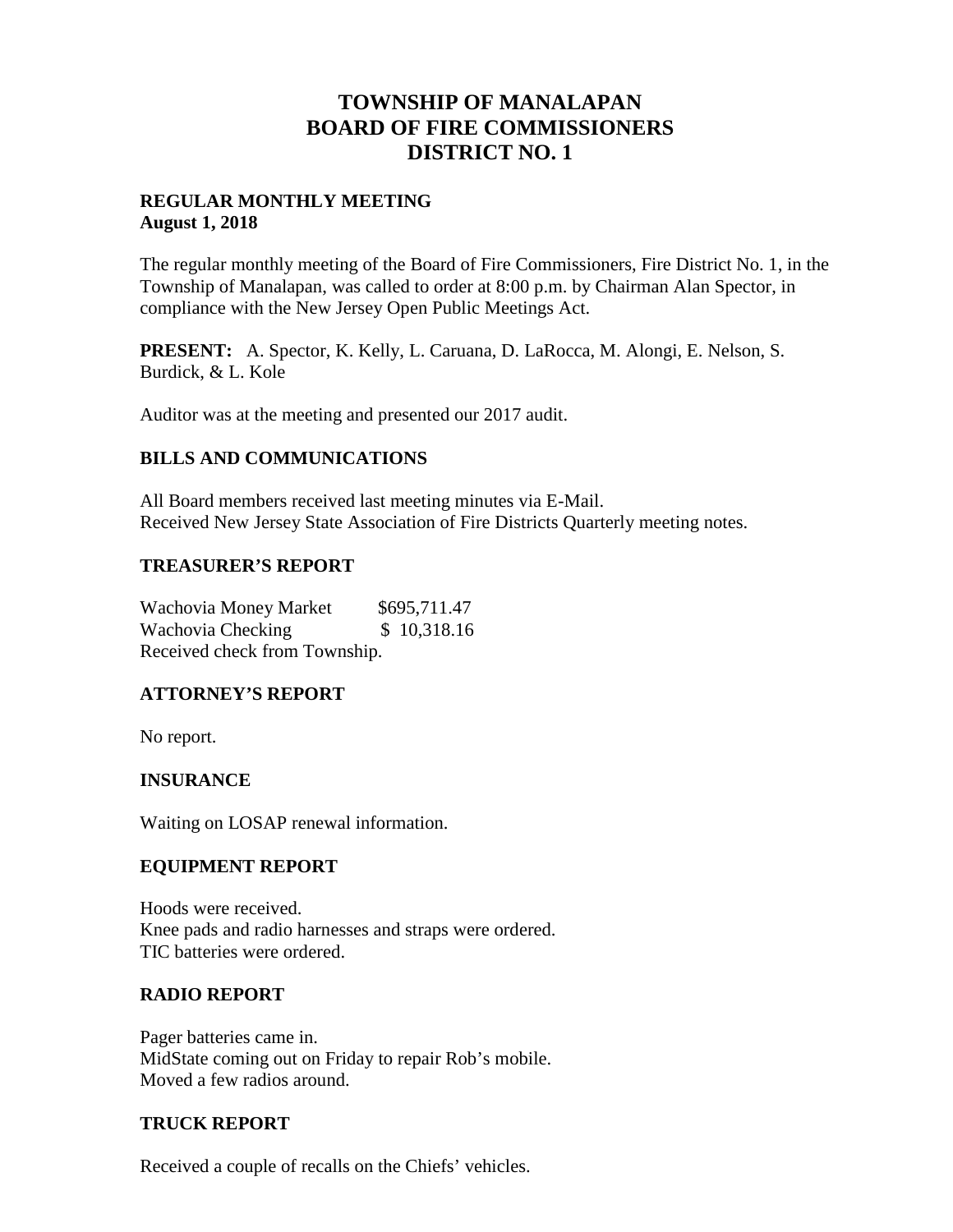## **TOWNSHIP OF MANALAPAN BOARD OF FIRE COMMISSIONERS DISTRICT NO. 1**

### **REGULAR MONTHLY MEETING August 1, 2018**

The regular monthly meeting of the Board of Fire Commissioners, Fire District No. 1, in the Township of Manalapan, was called to order at 8:00 p.m. by Chairman Alan Spector, in compliance with the New Jersey Open Public Meetings Act.

**PRESENT:** A. Spector, K. Kelly, L. Caruana, D. LaRocca, M. Alongi, E. Nelson, S. Burdick, & L. Kole

Auditor was at the meeting and presented our 2017 audit.

### **BILLS AND COMMUNICATIONS**

All Board members received last meeting minutes via E-Mail. Received New Jersey State Association of Fire Districts Quarterly meeting notes.

### **TREASURER'S REPORT**

Wachovia Money Market \$695,711.47 Wachovia Checking  $$10,318.16$ Received check from Township.

### **ATTORNEY'S REPORT**

No report.

### **INSURANCE**

Waiting on LOSAP renewal information.

### **EQUIPMENT REPORT**

Hoods were received. Knee pads and radio harnesses and straps were ordered. TIC batteries were ordered.

### **RADIO REPORT**

Pager batteries came in. MidState coming out on Friday to repair Rob's mobile. Moved a few radios around.

### **TRUCK REPORT**

Received a couple of recalls on the Chiefs' vehicles.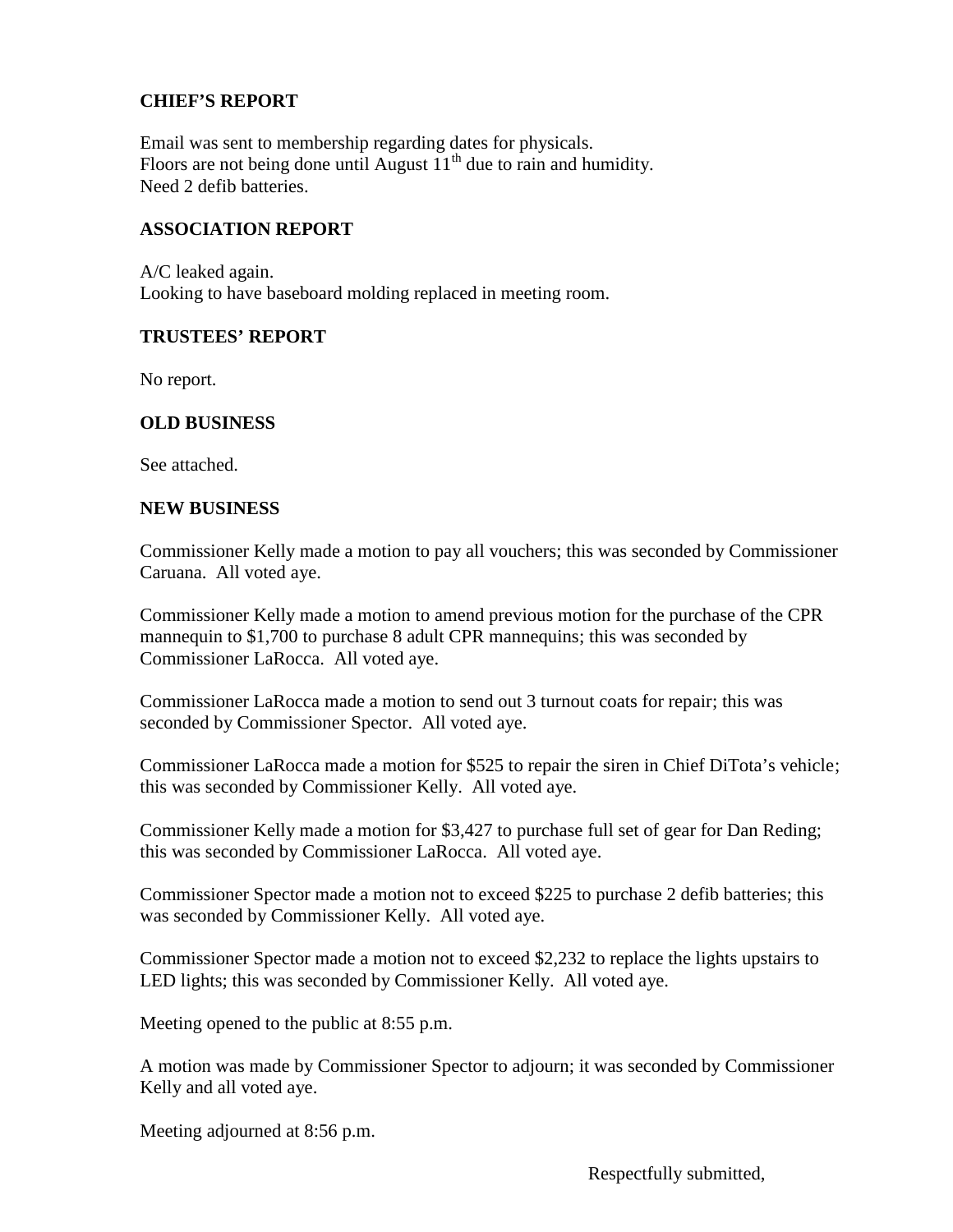## **CHIEF'S REPORT**

Email was sent to membership regarding dates for physicals. Floors are not being done until August  $11<sup>th</sup>$  due to rain and humidity. Need 2 defib batteries.

### **ASSOCIATION REPORT**

A/C leaked again. Looking to have baseboard molding replaced in meeting room.

#### **TRUSTEES' REPORT**

No report.

### **OLD BUSINESS**

See attached.

#### **NEW BUSINESS**

Commissioner Kelly made a motion to pay all vouchers; this was seconded by Commissioner Caruana. All voted aye.

Commissioner Kelly made a motion to amend previous motion for the purchase of the CPR mannequin to \$1,700 to purchase 8 adult CPR mannequins; this was seconded by Commissioner LaRocca. All voted aye.

Commissioner LaRocca made a motion to send out 3 turnout coats for repair; this was seconded by Commissioner Spector. All voted aye.

Commissioner LaRocca made a motion for \$525 to repair the siren in Chief DiTota's vehicle; this was seconded by Commissioner Kelly. All voted aye.

Commissioner Kelly made a motion for \$3,427 to purchase full set of gear for Dan Reding; this was seconded by Commissioner LaRocca. All voted aye.

Commissioner Spector made a motion not to exceed \$225 to purchase 2 defib batteries; this was seconded by Commissioner Kelly. All voted aye.

Commissioner Spector made a motion not to exceed \$2,232 to replace the lights upstairs to LED lights; this was seconded by Commissioner Kelly. All voted aye.

Meeting opened to the public at 8:55 p.m.

A motion was made by Commissioner Spector to adjourn; it was seconded by Commissioner Kelly and all voted aye.

Meeting adjourned at 8:56 p.m.

Respectfully submitted,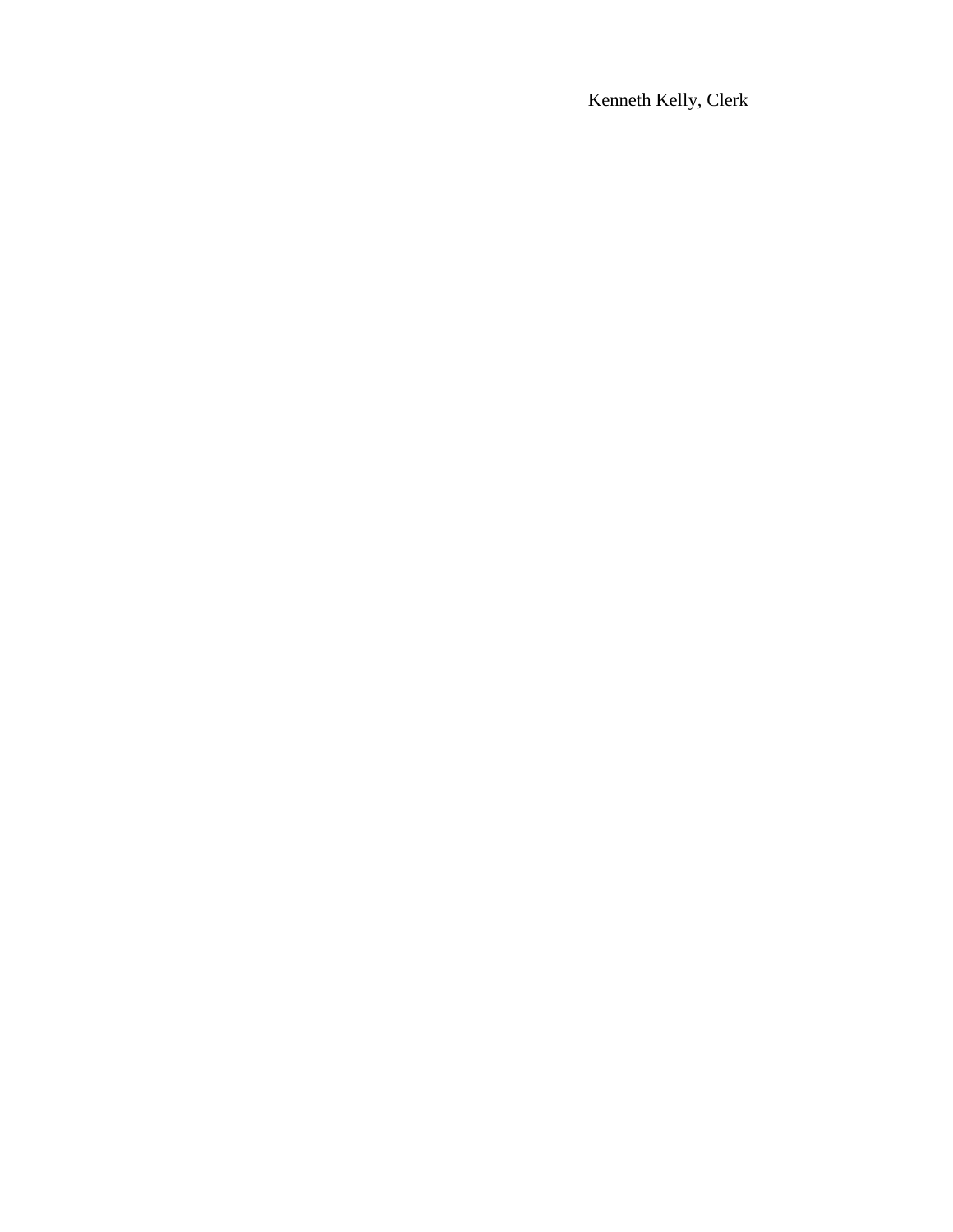Kenneth Kelly, Clerk